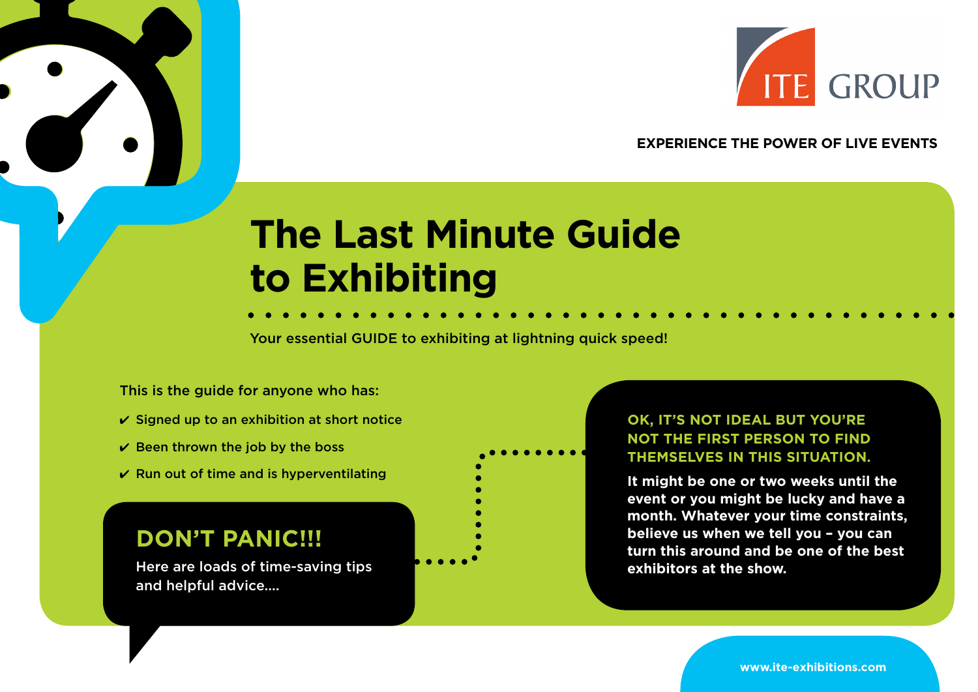

### **EXPERIENCE THE POWER OF LIVE EVENTS**

# **The Last Minute Guide to Exhibiting**

Your essential GUIDE to exhibiting at lightning quick speed!

This is the guide for anyone who has:

- $\checkmark$  Signed up to an exhibition at short notice
- $\vee$  Been thrown the job by the boss
- $\vee$  Run out of time and is hyperventilating

# **DON'T PANIC!!!**

Here are loads of time-saving tips and helpful advice....

## **OK, IT'S NOT IDEAL BUT YOU'RE NOT THE FIRST PERSON TO FIND THEMSELVES IN THIS SITUATION.**

**It might be one or two weeks until the event or you might be lucky and have a month. Whatever your time constraints, believe us when we tell you – you can turn this around and be one of the best exhibitors at the show.**

**www.ite-exhibitions.com**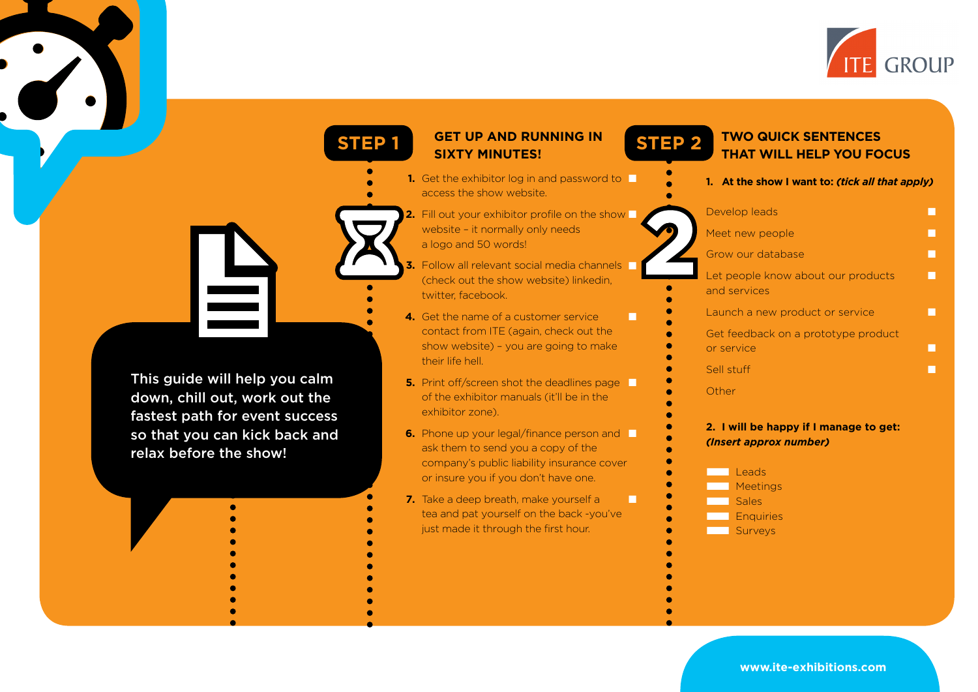

| <b>STEP1</b>                                                                                     | <b>GET UP AND RUNNING IN</b><br><b>STEP 2</b><br><b>SIXTY MINUTES!</b>                                                                                                | <b>TWO QUICK SENTENCES</b><br><b>THAT WILL HELP YOU FOCUS</b>                                  |
|--------------------------------------------------------------------------------------------------|-----------------------------------------------------------------------------------------------------------------------------------------------------------------------|------------------------------------------------------------------------------------------------|
|                                                                                                  | 1. Get the exhibitor log in and password to<br>access the show website.                                                                                               | 1. At the show I want to: (tick all that apply)                                                |
|                                                                                                  | 2. Fill out your exhibitor profile on the show D<br>website - it normally only needs<br>a logo and 50 words!                                                          | Develop leads<br>п<br>Meet new people<br>п                                                     |
|                                                                                                  | 3. Follow all relevant social media channels<br>(check out the show website) linkedin,<br>twitter, facebook.                                                          | Grow our database<br>П<br>Let people know about our products<br>П<br>and services              |
|                                                                                                  | 4. Get the name of a customer service<br>П<br>contact from ITE (again, check out the<br>show website) - you are going to make<br>their life hell.                     | Launch a new product or service<br>П<br>Get feedback on a prototype product<br>or service<br>П |
| This guide will help you calm<br>down, chill out, work out the<br>fastest path for event success | 5. Print off/screen shot the deadlines page<br>of the exhibitor manuals (it'll be in the<br>exhibitor zone).                                                          | Sell stuff<br>П<br>Other                                                                       |
| so that you can kick back and<br>relax before the show!                                          | 6. Phone up your legal/finance person and<br>ask them to send you a copy of the<br>company's public liability insurance cover<br>or insure you if you don't have one. | 2. I will be happy if I manage to get:<br>(Insert approx number)<br>Leads                      |
|                                                                                                  | 7. Take a deep breath, make yourself a<br>П<br>tea and pat yourself on the back -you've                                                                               | Meetings<br><b>Sales</b><br>Enquiries                                                          |

just made it through the first hour.

**www.ite-exhibitions.com**

■ Surveys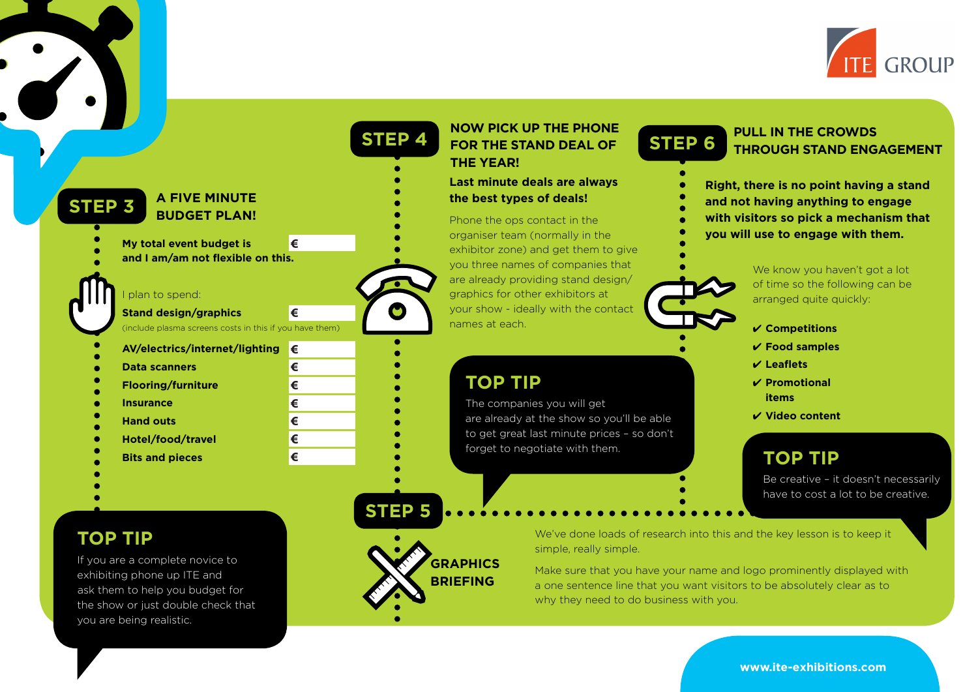

|                                                         |                 | <b>STEP 4</b> | <b>NOW PICK UP THE PHONE</b><br>FOR THE STAND DEAL OF<br><b>THE YEAR!</b> | <b>PULL IN THE CROWDS</b><br><b>STEP 6</b><br><b>THROUGH STAND ENGAGEMENT</b> |
|---------------------------------------------------------|-----------------|---------------|---------------------------------------------------------------------------|-------------------------------------------------------------------------------|
| <b>A FIVE MINUTE</b>                                    |                 |               | Last minute deals are always<br>the best types of deals!                  | Right, there is no point having a stand<br>and not having anything to engage  |
| <b>STEP 3</b><br><b>BUDGET PLAN!</b>                    |                 |               | Phone the ops contact in the                                              | with visitors so pick a mechanism that                                        |
| My total event budget is                                | €               |               | organiser team (normally in the                                           | you will use to engage with them.                                             |
| and I am/am not flexible on this.                       |                 |               | exhibitor zone) and get them to give<br>you three names of companies that |                                                                               |
|                                                         |                 |               | are already providing stand design/                                       | We know you haven't got a lot<br>of time so the following can be              |
| plan to spend:                                          |                 |               | graphics for other exhibitors at                                          | arranged quite quickly:                                                       |
| <b>Stand design/graphics</b>                            | €               | $\bullet$     | your show - ideally with the contact                                      |                                                                               |
| (include plasma screens costs in this if you have them) |                 |               | names at each.                                                            | $\checkmark$ Competitions                                                     |
| AV/electrics/internet/lighting                          | $\mathsf{I}\in$ |               |                                                                           | $V$ Food samples                                                              |
| <b>Data scanners</b>                                    | €               |               |                                                                           | $V$ Leaflets                                                                  |
| <b>Flooring/furniture</b>                               | €               |               | <b>TOP TIP</b>                                                            | $\checkmark$ Promotional<br><b>items</b>                                      |
| <b>Insurance</b>                                        | €               |               | The companies you will get<br>are already at the show so you'll be able   | $V$ Video content                                                             |
| <b>Hand outs</b>                                        | €               |               | to get great last minute prices - so don't                                |                                                                               |
| Hotel/food/travel                                       | €<br>€          |               | forget to negotiate with them.                                            |                                                                               |
| <b>Bits and pieces</b>                                  |                 |               |                                                                           | <b>TOP TIP</b>                                                                |
|                                                         |                 |               |                                                                           | Be creative - it doesn't necessarily<br>have to cost a lot to be creative.    |

 ask them to help you budget for the show or just double check that you are being realistic.

**www.ite-exhibitions.com**

why they need to do business with you.